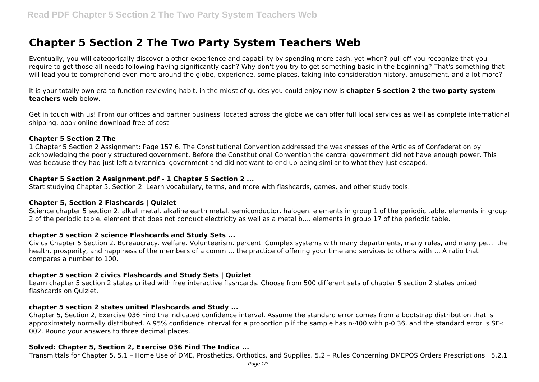# **Chapter 5 Section 2 The Two Party System Teachers Web**

Eventually, you will categorically discover a other experience and capability by spending more cash. yet when? pull off you recognize that you require to get those all needs following having significantly cash? Why don't you try to get something basic in the beginning? That's something that will lead you to comprehend even more around the globe, experience, some places, taking into consideration history, amusement, and a lot more?

It is your totally own era to function reviewing habit. in the midst of guides you could enjoy now is **chapter 5 section 2 the two party system teachers web** below.

Get in touch with us! From our offices and partner business' located across the globe we can offer full local services as well as complete international shipping, book online download free of cost

## **Chapter 5 Section 2 The**

1 Chapter 5 Section 2 Assignment: Page 157 6. The Constitutional Convention addressed the weaknesses of the Articles of Confederation by acknowledging the poorly structured government. Before the Constitutional Convention the central government did not have enough power. This was because they had just left a tyrannical government and did not want to end up being similar to what they just escaped.

## **Chapter 5 Section 2 Assignment.pdf - 1 Chapter 5 Section 2 ...**

Start studying Chapter 5, Section 2. Learn vocabulary, terms, and more with flashcards, games, and other study tools.

## **Chapter 5, Section 2 Flashcards | Quizlet**

Science chapter 5 section 2. alkali metal. alkaline earth metal. semiconductor. halogen. elements in group 1 of the periodic table. elements in group 2 of the periodic table. element that does not conduct electricity as well as a metal b…. elements in group 17 of the periodic table.

## **chapter 5 section 2 science Flashcards and Study Sets ...**

Civics Chapter 5 Section 2. Bureaucracy. welfare. Volunteerism. percent. Complex systems with many departments, many rules, and many pe…. the health, prosperity, and happiness of the members of a comm…. the practice of offering your time and services to others with…. A ratio that compares a number to 100.

## **chapter 5 section 2 civics Flashcards and Study Sets | Quizlet**

Learn chapter 5 section 2 states united with free interactive flashcards. Choose from 500 different sets of chapter 5 section 2 states united flashcards on Quizlet.

## **chapter 5 section 2 states united Flashcards and Study ...**

Chapter 5, Section 2, Exercise 036 Find the indicated confidence interval. Assume the standard error comes from a bootstrap distribution that is approximately normally distributed. A 95% confidence interval for a proportion p if the sample has n-400 with p-0.36, and the standard error is SE-: 002. Round your answers to three decimal places.

## **Solved: Chapter 5, Section 2, Exercise 036 Find The Indica ...**

Transmittals for Chapter 5. 5.1 – Home Use of DME, Prosthetics, Orthotics, and Supplies. 5.2 – Rules Concerning DMEPOS Orders Prescriptions . 5.2.1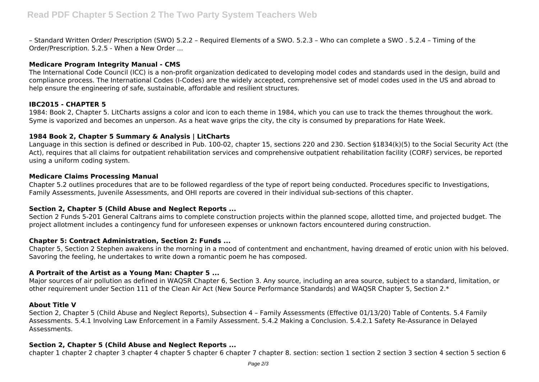– Standard Written Order/ Prescription (SWO) 5.2.2 – Required Elements of a SWO. 5.2.3 – Who can complete a SWO . 5.2.4 – Timing of the Order/Prescription. 5.2.5 - When a New Order ...

## **Medicare Program Integrity Manual - CMS**

The International Code Council (ICC) is a non-profit organization dedicated to developing model codes and standards used in the design, build and compliance process. The International Codes (I-Codes) are the widely accepted, comprehensive set of model codes used in the US and abroad to help ensure the engineering of safe, sustainable, affordable and resilient structures.

## **IBC2015 - CHAPTER 5**

1984: Book 2, Chapter 5. LitCharts assigns a color and icon to each theme in 1984, which you can use to track the themes throughout the work. Syme is vaporized and becomes an unperson. As a heat wave grips the city, the city is consumed by preparations for Hate Week.

## **1984 Book 2, Chapter 5 Summary & Analysis | LitCharts**

Language in this section is defined or described in Pub. 100-02, chapter 15, sections 220 and 230. Section §1834(k)(5) to the Social Security Act (the Act), requires that all claims for outpatient rehabilitation services and comprehensive outpatient rehabilitation facility (CORF) services, be reported using a uniform coding system.

## **Medicare Claims Processing Manual**

Chapter 5.2 outlines procedures that are to be followed regardless of the type of report being conducted. Procedures specific to Investigations, Family Assessments, Juvenile Assessments, and OHI reports are covered in their individual sub-sections of this chapter.

# **Section 2, Chapter 5 (Child Abuse and Neglect Reports ...**

Section 2 Funds 5-201 General Caltrans aims to complete construction projects within the planned scope, allotted time, and projected budget. The project allotment includes a contingency fund for unforeseen expenses or unknown factors encountered during construction.

# **Chapter 5: Contract Administration, Section 2: Funds ...**

Chapter 5, Section 2 Stephen awakens in the morning in a mood of contentment and enchantment, having dreamed of erotic union with his beloved. Savoring the feeling, he undertakes to write down a romantic poem he has composed.

# **A Portrait of the Artist as a Young Man: Chapter 5 ...**

Major sources of air pollution as defined in WAQSR Chapter 6, Section 3. Any source, including an area source, subject to a standard, limitation, or other requirement under Section 111 of the Clean Air Act (New Source Performance Standards) and WAQSR Chapter 5, Section 2.\*

## **About Title V**

Section 2, Chapter 5 (Child Abuse and Neglect Reports), Subsection 4 – Family Assessments (Effective 01/13/20) Table of Contents. 5.4 Family Assessments. 5.4.1 Involving Law Enforcement in a Family Assessment. 5.4.2 Making a Conclusion. 5.4.2.1 Safety Re-Assurance in Delayed Assessments.

## **Section 2, Chapter 5 (Child Abuse and Neglect Reports ...**

chapter 1 chapter 2 chapter 3 chapter 4 chapter 5 chapter 6 chapter 7 chapter 8. section: section 1 section 2 section 3 section 4 section 5 section 6